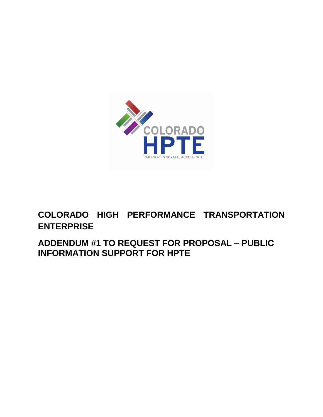

## **COLORADO HIGH PERFORMANCE TRANSPORTATION ENTERPRISE**

**ADDENDUM #1 TO REQUEST FOR PROPOSAL – PUBLIC INFORMATION SUPPORT FOR HPTE**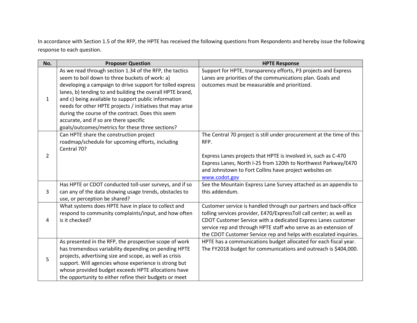In accordance with Section 1.5 of the RFP, the HPTE has received the following questions from Respondents and hereby issue the following response to each question.

| No.            | <b>Proposer Question</b>                                                                                                                                                                                                                                                                                                                            | <b>HPTE Response</b>                                                                                                                |
|----------------|-----------------------------------------------------------------------------------------------------------------------------------------------------------------------------------------------------------------------------------------------------------------------------------------------------------------------------------------------------|-------------------------------------------------------------------------------------------------------------------------------------|
|                | As we read through section 1.34 of the RFP, the tactics                                                                                                                                                                                                                                                                                             | Support for HPTE, transparency efforts, P3 projects and Express                                                                     |
|                | seem to boil down to three buckets of work: a)                                                                                                                                                                                                                                                                                                      | Lanes are priorities of the communications plan. Goals and                                                                          |
|                | developing a campaign to drive support for tolled express                                                                                                                                                                                                                                                                                           | outcomes must be measurable and prioritized.                                                                                        |
|                | lanes, b) tending to and building the overall HPTE brand,                                                                                                                                                                                                                                                                                           |                                                                                                                                     |
| $\mathbf{1}$   | and c) being available to support public information                                                                                                                                                                                                                                                                                                |                                                                                                                                     |
|                | needs for other HPTE projects / initiatives that may arise                                                                                                                                                                                                                                                                                          |                                                                                                                                     |
|                | during the course of the contract. Does this seem                                                                                                                                                                                                                                                                                                   |                                                                                                                                     |
|                | accurate, and if so are there specific                                                                                                                                                                                                                                                                                                              |                                                                                                                                     |
|                | goals/outcomes/metrics for these three sections?                                                                                                                                                                                                                                                                                                    |                                                                                                                                     |
|                | Can HPTE share the construction project                                                                                                                                                                                                                                                                                                             | The Central 70 project is still under procurement at the time of this                                                               |
|                | roadmap/schedule for upcoming efforts, including                                                                                                                                                                                                                                                                                                    | RFP.                                                                                                                                |
|                | Central 70?                                                                                                                                                                                                                                                                                                                                         |                                                                                                                                     |
| $\overline{2}$ |                                                                                                                                                                                                                                                                                                                                                     | Express Lanes projects that HPTE is involved in, such as C-470                                                                      |
|                |                                                                                                                                                                                                                                                                                                                                                     | Express Lanes, North I-25 from 120th to Northwest Parkway/E470                                                                      |
|                |                                                                                                                                                                                                                                                                                                                                                     | and Johnstown to Fort Collins have project websites on                                                                              |
|                |                                                                                                                                                                                                                                                                                                                                                     | www.codot.gov                                                                                                                       |
|                | Has HPTE or CDOT conducted toll-user surveys, and if so                                                                                                                                                                                                                                                                                             | See the Mountain Express Lane Survey attached as an appendix to                                                                     |
| 3              | can any of the data showing usage trends, obstacles to                                                                                                                                                                                                                                                                                              | this addendum.                                                                                                                      |
|                | use, or perception be shared?                                                                                                                                                                                                                                                                                                                       |                                                                                                                                     |
|                | What systems does HPTE have in place to collect and                                                                                                                                                                                                                                                                                                 | Customer service is handled through our partners and back-office                                                                    |
| 4              | respond to community complaints/input, and how often<br>is it checked?                                                                                                                                                                                                                                                                              | tolling services provider, E470/ExpressToll call center; as well as                                                                 |
|                |                                                                                                                                                                                                                                                                                                                                                     | CDOT Customer Service with a dedicated Express Lanes customer<br>service rep and through HPTE staff who serve as an extension of    |
|                |                                                                                                                                                                                                                                                                                                                                                     |                                                                                                                                     |
|                |                                                                                                                                                                                                                                                                                                                                                     | the CDOT Customer Service rep and helps with escalated inquiries.                                                                   |
|                |                                                                                                                                                                                                                                                                                                                                                     |                                                                                                                                     |
|                |                                                                                                                                                                                                                                                                                                                                                     |                                                                                                                                     |
| 5              |                                                                                                                                                                                                                                                                                                                                                     |                                                                                                                                     |
|                |                                                                                                                                                                                                                                                                                                                                                     |                                                                                                                                     |
|                |                                                                                                                                                                                                                                                                                                                                                     |                                                                                                                                     |
|                | As presented in the RFP, the prospective scope of work<br>has tremendous variability depending on pending HPTE<br>projects, advertising size and scope, as well as crisis<br>support. Will agencies whose experience is strong but<br>whose provided budget exceeds HPTE allocations have<br>the opportunity to either refine their budgets or meet | HPTE has a communications budget allocated for each fiscal year.<br>The FY2018 budget for communications and outreach is \$404,000. |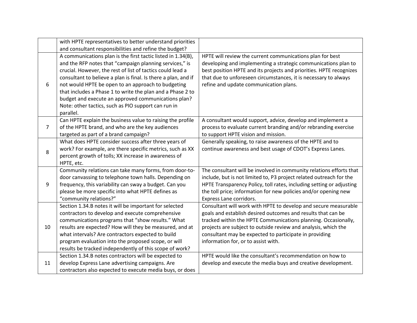|    | with HPTE representatives to better understand priorities      |                                                                      |
|----|----------------------------------------------------------------|----------------------------------------------------------------------|
|    | and consultant responsibilities and refine the budget?         |                                                                      |
|    | A communications plan is the first tactic listed in 1.34(B),   | HPTE will review the current communications plan for best            |
|    | and the RFP notes that "campaign planning services," is        | developing and implementing a strategic communications plan to       |
|    | crucial. However, the rest of list of tactics could lead a     | best position HPTE and its projects and priorities. HPTE recognizes  |
|    | consultant to believe a plan is final. Is there a plan, and if | that due to unforeseen circumstances, it is necessary to always      |
| 6  | not would HPTE be open to an approach to budgeting             | refine and update communication plans.                               |
|    | that includes a Phase 1 to write the plan and a Phase 2 to     |                                                                      |
|    | budget and execute an approved communications plan?            |                                                                      |
|    | Note: other tactics, such as PIO support can run in            |                                                                      |
|    | parallel.                                                      |                                                                      |
|    | Can HPTE explain the business value to raising the profile     | A consultant would support, advice, develop and implement a          |
| 7  | of the HPTE brand, and who are the key audiences               | process to evaluate current branding and/or rebranding exercise      |
|    | targeted as part of a brand campaign?                          | to support HPTE vision and mission.                                  |
|    | What does HPTE consider success after three years of           | Generally speaking, to raise awareness of the HPTE and to            |
| 8  | work? For example, are there specific metrics, such as XX      | continue awareness and best usage of CDOT's Express Lanes.           |
|    | percent growth of tolls; XX increase in awareness of           |                                                                      |
|    | HPTE, etc.                                                     |                                                                      |
|    | Community relations can take many forms, from door-to-         | The consultant will be involved in community relations efforts that  |
|    | door canvassing to telephone town halls. Depending on          | include, but is not limited to, P3 project related outreach for the  |
| 9  | frequency, this variability can sway a budget. Can you         | HPTE Transparency Policy, toll rates, including setting or adjusting |
|    | please be more specific into what HPTE defines as              | the toll price; information for new policies and/or opening new      |
|    | "community relations?"                                         | Express Lane corridors.                                              |
|    | Section 1.34.B notes it will be important for selected         | Consultant will work with HPTE to develop and secure measurable      |
|    | contractors to develop and execute comprehensive               | goals and establish desired outcomes and results that can be         |
|    | communications programs that "show results." What              | tracked within the HPTE Communications planning. Occasionally,       |
| 10 | results are expected? How will they be measured, and at        | projects are subject to outside review and analysis, which the       |
|    | what intervals? Are contractors expected to build              | consultant may be expected to participate in providing               |
|    | program evaluation into the proposed scope, or will            | information for, or to assist with.                                  |
|    | results be tracked independently of this scope of work?        |                                                                      |
|    | Section 1.34.B notes contractors will be expected to           | HPTE would like the consultant's recommendation on how to            |
| 11 | develop Express Lane advertising campaigns. Are                | develop and execute the media buys and creative development.         |
|    | contractors also expected to execute media buys, or does       |                                                                      |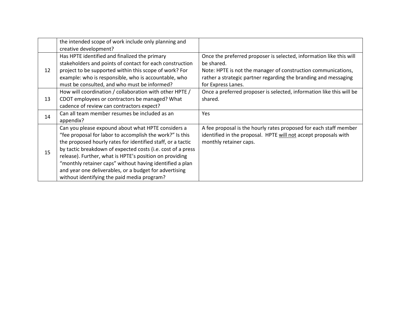|    | the intended scope of work include only planning and<br>creative development?                                                                                                                                                                                                                                                                                                                                                                                                |                                                                                                                                                                                                                                             |
|----|------------------------------------------------------------------------------------------------------------------------------------------------------------------------------------------------------------------------------------------------------------------------------------------------------------------------------------------------------------------------------------------------------------------------------------------------------------------------------|---------------------------------------------------------------------------------------------------------------------------------------------------------------------------------------------------------------------------------------------|
| 12 | Has HPTE identified and finalized the primary<br>stakeholders and points of contact for each construction<br>project to be supported within this scope of work? For<br>example: who is responsible, who is accountable, who<br>must be consulted, and who must be informed?                                                                                                                                                                                                  | Once the preferred proposer is selected, information like this will<br>be shared.<br>Note: HPTE is not the manager of construction communications,<br>rather a strategic partner regarding the branding and messaging<br>for Express Lanes. |
| 13 | How will coordination / collaboration with other HPTE /<br>CDOT employees or contractors be managed? What<br>cadence of review can contractors expect?                                                                                                                                                                                                                                                                                                                       | Once a preferred proposer is selected, information like this will be<br>shared.                                                                                                                                                             |
| 14 | Can all team member resumes be included as an<br>appendix?                                                                                                                                                                                                                                                                                                                                                                                                                   | Yes                                                                                                                                                                                                                                         |
| 15 | Can you please expound about what HPTE considers a<br>"fee proposal for labor to accomplish the work?" Is this<br>the proposed hourly rates for identified staff, or a tactic<br>by tactic breakdown of expected costs (i.e. cost of a press<br>release). Further, what is HPTE's position on providing<br>"monthly retainer caps" without having identified a plan<br>and year one deliverables, or a budget for advertising<br>without identifying the paid media program? | A fee proposal is the hourly rates proposed for each staff member<br>identified in the proposal. HPTE will not accept proposals with<br>monthly retainer caps.                                                                              |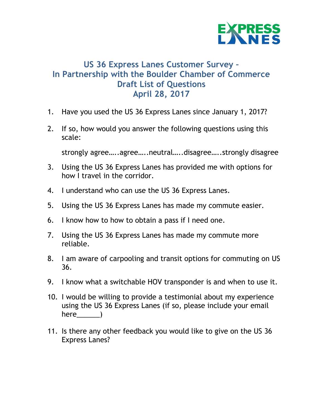

### **US 36 Express Lanes Customer Survey – In Partnership with the Boulder Chamber of Commerce Draft List of Questions April 28, 2017**

- 1. Have you used the US 36 Express Lanes since January 1, 2017?
- 2. If so, how would you answer the following questions using this scale:

strongly agree…..agree…..neutral…..disagree…..strongly disagree

- 3. Using the US 36 Express Lanes has provided me with options for how I travel in the corridor.
- 4. I understand who can use the US 36 Express Lanes.
- 5. Using the US 36 Express Lanes has made my commute easier.
- 6. I know how to how to obtain a pass if I need one.
- 7. Using the US 36 Express Lanes has made my commute more reliable.
- 8. I am aware of carpooling and transit options for commuting on US 36.
- 9. I know what a switchable HOV transponder is and when to use it.
- 10. I would be willing to provide a testimonial about my experience using the US 36 Express Lanes (if so, please include your email here )
- 11. Is there any other feedback you would like to give on the US 36 Express Lanes?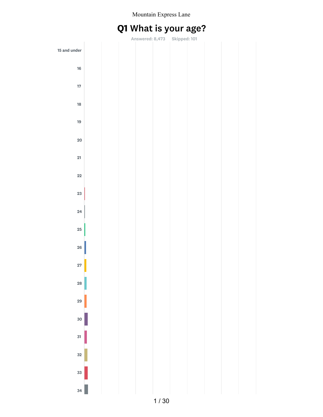# Q1 What is your age?

|              |  |  | Answered: 8,473 Skipped: 101 |  |  |
|--------------|--|--|------------------------------|--|--|
| 15 and under |  |  |                              |  |  |
| 16           |  |  |                              |  |  |
| $17\,$       |  |  |                              |  |  |
| 18           |  |  |                              |  |  |
| 19           |  |  |                              |  |  |
| 20           |  |  |                              |  |  |
| 21           |  |  |                              |  |  |
| 22           |  |  |                              |  |  |
| 23           |  |  |                              |  |  |
| 24           |  |  |                              |  |  |
| 25           |  |  |                              |  |  |
| 26           |  |  |                              |  |  |
| 27           |  |  |                              |  |  |
| <b>28</b>    |  |  |                              |  |  |
| 29           |  |  |                              |  |  |
| 30           |  |  |                              |  |  |
| 31           |  |  |                              |  |  |
| 32           |  |  |                              |  |  |
| 33           |  |  |                              |  |  |
| 34           |  |  |                              |  |  |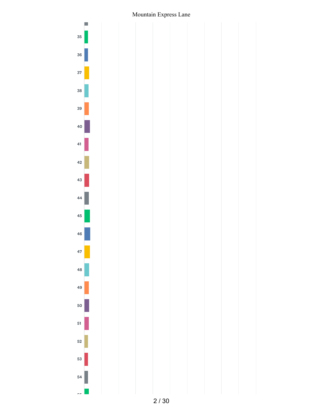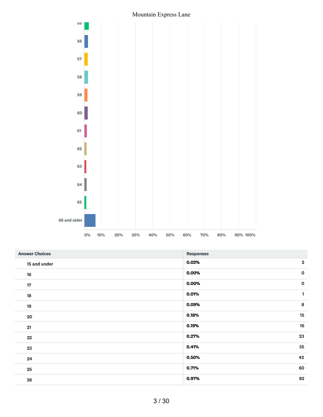

| <b>Answer Choices</b> | <b>Responses</b>      |
|-----------------------|-----------------------|
| 15 and under          | $\mathbf{2}$<br>0.02% |
| 16                    | $\mathbf 0$<br>0.00%  |
| $17\,$                | 0.00%<br>$\mathbf 0$  |
| 18                    | 0.01%<br>1            |
| 19                    | 8<br>0.09%            |
| 20                    | 15<br>0.18%           |
| 21                    | 16<br>0.19%           |
| $22\,$                | 23<br>0.27%           |
| 23                    | 35<br>0.41%           |
| 24                    | 0.50%<br>42           |
| 25                    | 0.71%<br>60           |
| 26                    | 82<br>0.97%           |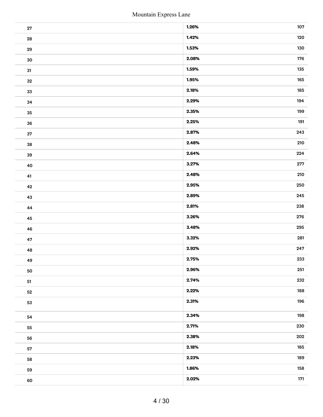|            | Mountain Express Lane |     |
|------------|-----------------------|-----|
| ${\bf 27}$ | 1.26%                 | 107 |
| ${\bf 28}$ | 1.42%                 | 120 |
| 29         | 1.53%                 | 130 |
| $30\,$     | 2.08%                 | 176 |
| 31         | 1.59%                 | 135 |
| $32\,$     | 1.95%                 | 165 |
| 33         | 2.18%                 | 185 |
| 34         | 2.29%                 | 194 |
| 35         | 2.35%                 | 199 |
| 36         | 2.25%                 | 191 |
| $37\,$     | 2.87%                 | 243 |
| ${\bf 38}$ | 2.48%                 | 210 |
| 39         | 2.64%                 | 224 |
| 40         | 3.27%                 | 277 |
| 41         | 2.48%                 | 210 |
| $\bf 42$   | 2.95%                 | 250 |
| 43         | 2.89%                 | 245 |
| 44         | 2.81%                 | 238 |
| 45         | 3.26%                 | 276 |
| 46         | 3.48%                 | 295 |
| 47         | 3.32%                 | 281 |
| 48         | 2.92%                 | 247 |
| 49         | 2.75%                 | 233 |
| 50         | 2.96%                 | 251 |
|            | 2.74%                 | 232 |
| 51         | 2.22%                 | 188 |
| ${\bf 52}$ | 2.31%                 | 196 |
| 53         |                       |     |
| 54         | 2.34%                 | 198 |
| 55         | 2.71%                 | 230 |
| 56         | 2.38%                 | 202 |
| 57         | 2.18%                 | 185 |
| 58         | 2.23%                 | 189 |
| 59         | 1.86%                 | 158 |
| 60         | 2.02%                 | 171 |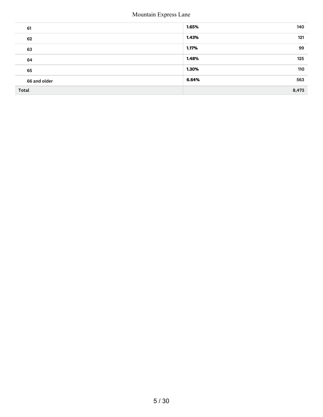| 61           | 1.65%<br>140 |
|--------------|--------------|
| 62           | 1.43%<br>121 |
| 63           | 99<br>1.17%  |
| 64           | 1.48%<br>125 |
| 65           | 1.30%<br>110 |
| 66 and older | 6.64%<br>563 |
| <b>Total</b> | 8,473        |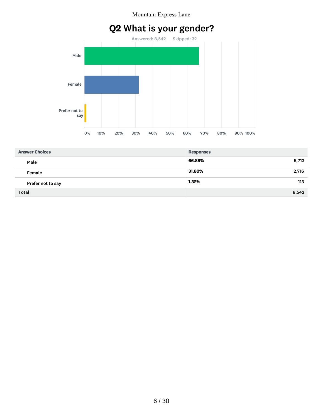# Q2 What is your gender?



| <b>Answer Choices</b> | <b>Responses</b> |
|-----------------------|------------------|
| Male                  | 66.88%<br>5,713  |
| Female                | 31.80%<br>2,716  |
| Prefer not to say     | 1.32%<br>113     |
| <b>Total</b>          | 8,542            |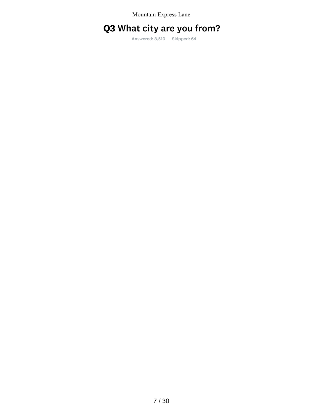# Q3 What city are you from?

Answered: 8,510 Skipped: 64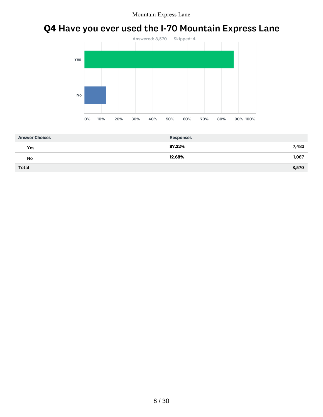# Q4 Have you ever used the I-70 Mountain Express Lane



| <b>Answer Choices</b> | <b>Responses</b> |
|-----------------------|------------------|
| Yes                   | 87.32%<br>7,483  |
| No                    | 12.68%<br>1,087  |
| <b>Total</b>          | 8,570            |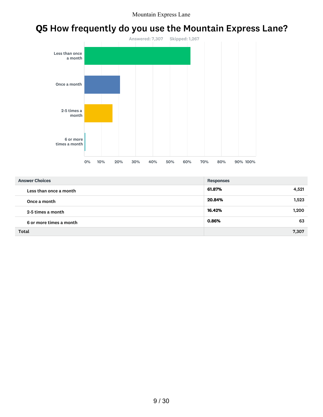# Q5 How frequently do you use the Mountain Express Lane?



| <b>Answer Choices</b>   | <b>Responses</b> |
|-------------------------|------------------|
| Less than once a month  | 61.87%<br>4,521  |
| Once a month            | 20.84%<br>1,523  |
| 2-5 times a month       | 16.42%<br>1,200  |
| 6 or more times a month | 63<br>0.86%      |
| Total                   | 7,307            |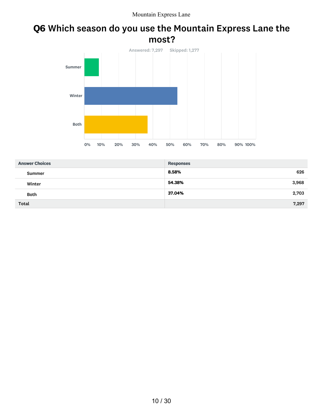### Q6 Which season do you use the Mountain Express Lane the most?



| <b>Answer Choices</b> | <b>Responses</b> |
|-----------------------|------------------|
| Summer                | 8.58%<br>626     |
| Winter                | 54.38%<br>3,968  |
| <b>Both</b>           | 37.04%<br>2,703  |
| <b>Total</b>          | 7,297            |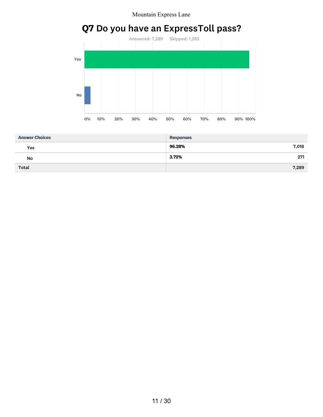# Q7 Do you have an ExpressToll pass?



| <b>Answer Choices</b> | <b>Responses</b> |
|-----------------------|------------------|
| Yes                   | 96.28%<br>7,018  |
| No                    | 3.72%<br>271     |
| Total                 | 7,289            |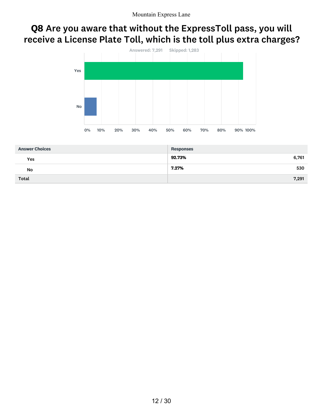## Q8 Are you aware that without the ExpressToll pass, you will receive a License Plate Toll, which is the toll plus extra charges?



| <b>Answer Choices</b> | <b>Responses</b> |
|-----------------------|------------------|
| Yes                   | 92.73%<br>6,761  |
| No                    | 7.27%<br>530     |
| <b>Total</b>          | 7,291            |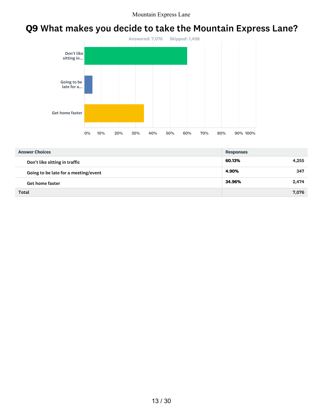# Q9 What makes you decide to take the Mountain Express Lane?



| <b>Answer Choices</b>                | <b>Responses</b> |       |
|--------------------------------------|------------------|-------|
| Don't like sitting in traffic        | 60.13%           | 4.255 |
| Going to be late for a meeting/event | 4.90%            | 347   |
| <b>Get home faster</b>               | 34.96%           | 2,474 |
| Total                                |                  | 7,076 |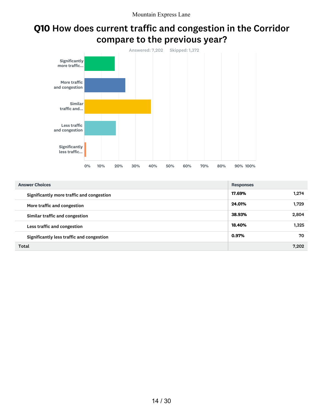# Q10 How does current traffic and congestion in the Corridor compare to the previous year?



| <b>Answer Choices</b>                     | <b>Responses</b> |
|-------------------------------------------|------------------|
| Significantly more traffic and congestion | 17.69%<br>1.274  |
| More traffic and congestion               | 24.01%<br>1.729  |
| Similar traffic and congestion            | 38.93%<br>2.804  |
| Less traffic and congestion               | 18.40%<br>1.325  |
| Significantly less traffic and congestion | 0.97%<br>70      |
| Total                                     | 7.202            |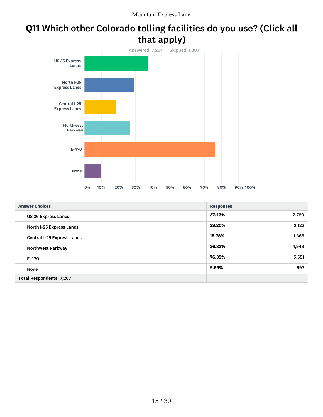# Q11 Which other Colorado tolling facilities do you use? (Click all that apply)



| <b>Answer Choices</b>             | <b>Responses</b> |
|-----------------------------------|------------------|
| <b>US 36 Express Lanes</b>        | 37.43%<br>2,720  |
| North I-25 Express Lanes          | 2,122<br>29.20%  |
| <b>Central I-25 Express Lanes</b> | 18.78%<br>1,365  |
| <b>Northwest Parkway</b>          | 26.82%<br>1,949  |
| E-470                             | 76.39%<br>5,551  |
| None                              | 9.59%<br>697     |
| <b>Total Respondents: 7,267</b>   |                  |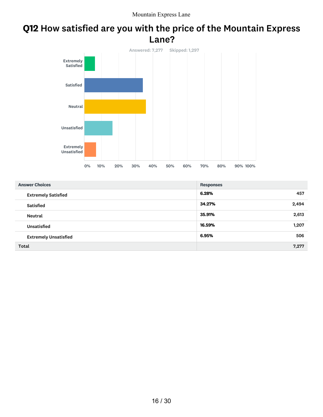### Q12 How satisfied are you with the price of the Mountain Express Lane?



| <b>Answer Choices</b>        | <b>Responses</b> |
|------------------------------|------------------|
| <b>Extremely Satisfied</b>   | 6.28%<br>457     |
| <b>Satisfied</b>             | 34.27%<br>2,494  |
| Neutral                      | 35.91%<br>2,613  |
| <b>Unsatisfied</b>           | 16.59%<br>1,207  |
| <b>Extremely Unsatisfied</b> | 6.95%<br>506     |
| <b>Total</b>                 | 7,277            |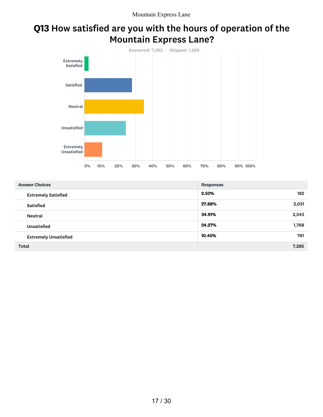# Q13 How satisfied are you with the hours of operation of the Mountain Express Lane?



| <b>Answer Choices</b>        | <b>Responses</b> |
|------------------------------|------------------|
| <b>Extremely Satisfied</b>   | 2.50%<br>182     |
| <b>Satisfied</b>             | 27.88%<br>2,031  |
| Neutral                      | 34.91%<br>2,543  |
| <b>Unsatisfied</b>           | 24.27%<br>1,768  |
| <b>Extremely Unsatisfied</b> | 10.45%<br>761    |
| Total                        | 7,285            |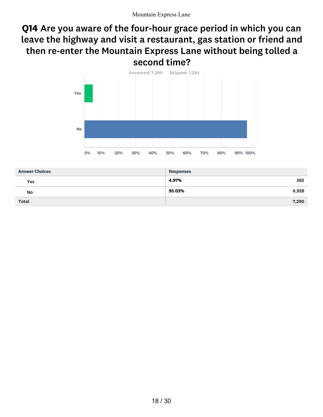## Q14 Are you aware of the four-hour grace period in which you can leave the highway and visit a restaurant, gas station or friend and then re-enter the Mountain Express Lane without being tolled a second time?



| <b>Answer Choices</b> | <b>Responses</b> |
|-----------------------|------------------|
| Yes                   | 4.97%<br>362     |
| No                    | 95.03%<br>6,928  |
| Total                 | 7,290            |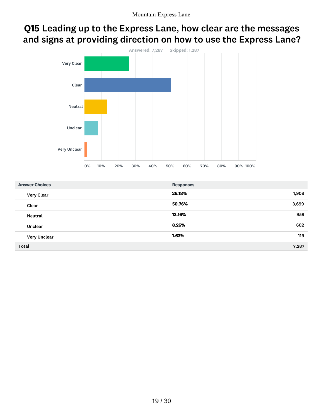# Q15 Leading up to the Express Lane, how clear are the messages and signs at providing direction on how to use the Express Lane?



| <b>Answer Choices</b> | <b>Responses</b> |     |
|-----------------------|------------------|-----|
| <b>Very Clear</b>     | 26.18%<br>1,908  |     |
| Clear                 | 3,699<br>50.76%  |     |
| Neutral               | 13.16%           | 959 |
| Unclear               | 8.26%<br>602     |     |
| <b>Very Unclear</b>   | 1.63%            | 119 |
| <b>Total</b>          | 7,287            |     |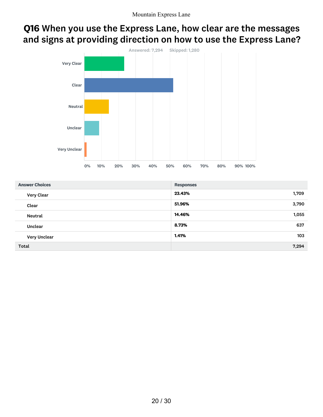## Q16 When you use the Express Lane, how clear are the messages and signs at providing direction on how to use the Express Lane?



| <b>Answer Choices</b> | <b>Responses</b> |
|-----------------------|------------------|
| Very Clear            | 23.43%<br>1,709  |
| Clear                 | 51.96%<br>3,790  |
| Neutral               | 14.46%<br>1,055  |
| Unclear               | 8.73%<br>637     |
| <b>Very Unclear</b>   | 1.41%<br>103     |
| <b>Total</b>          | 7,294            |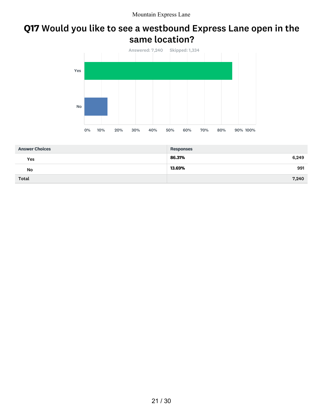### Q17 Would you like to see a westbound Express Lane open in the same location?



| <b>Answer Choices</b> | <b>Responses</b> |
|-----------------------|------------------|
| Yes                   | 86.31%<br>6,249  |
| No                    | 991<br>13.69%    |
| <b>Total</b>          | 7,240            |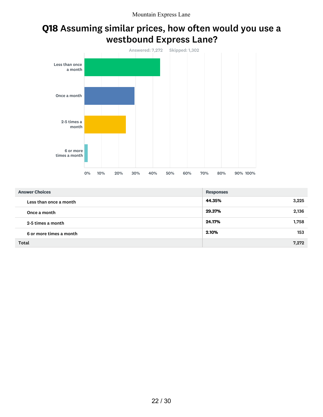## Q18 Assuming similar prices, how often would you use a westbound Express Lane?



| <b>Answer Choices</b>   | <b>Responses</b> |
|-------------------------|------------------|
| Less than once a month  | 44.35%<br>3,225  |
| Once a month            | 29.37%<br>2,136  |
| 2-5 times a month       | 24.17%<br>1,758  |
| 6 or more times a month | 2.10%<br>153     |
| <b>Total</b>            | 7,272            |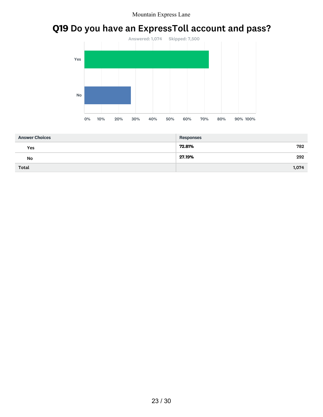# Q19 Do you have an ExpressToll account and pass?



| <b>Answer Choices</b> | <b>Responses</b> |
|-----------------------|------------------|
| Yes                   | 72.81%<br>782    |
| No                    | 27.19%<br>292    |
| <b>Total</b>          | 1,074            |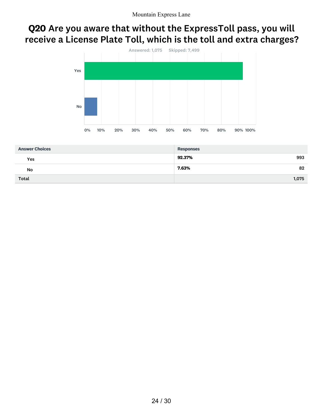# Q20 Are you aware that without the ExpressToll pass, you will receive a License Plate Toll, which is the toll and extra charges?



| <b>Answer Choices</b> | <b>Responses</b> |       |
|-----------------------|------------------|-------|
| Yes                   | 92.37%           | 993   |
| No                    | 7.63%            | 82    |
| <b>Total</b>          |                  | 1,075 |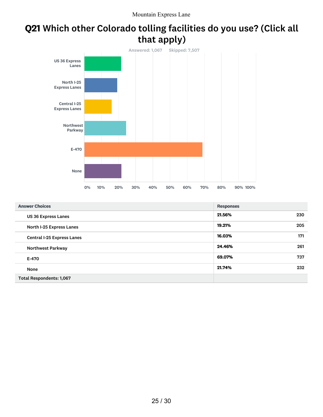# Q21 Which other Colorado tolling facilities do you use? (Click all that apply)



| <b>Answer Choices</b>             | <b>Responses</b> |
|-----------------------------------|------------------|
| <b>US 36 Express Lanes</b>        | 21.56%<br>230    |
| North I-25 Express Lanes          | 205<br>19.21%    |
| <b>Central I-25 Express Lanes</b> | 16.03%<br>171    |
| <b>Northwest Parkway</b>          | 261<br>24.46%    |
| E-470                             | 69.07%<br>737    |
| None                              | 232<br>21.74%    |
| <b>Total Respondents: 1,067</b>   |                  |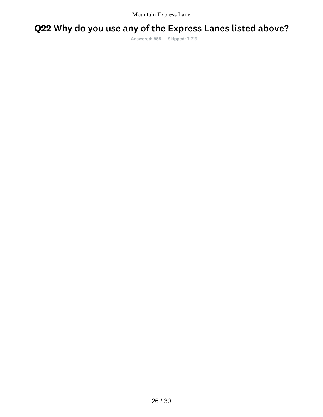# Q22 Why do you use any of the Express Lanes listed above?

Answered: 855 Skipped: 7,719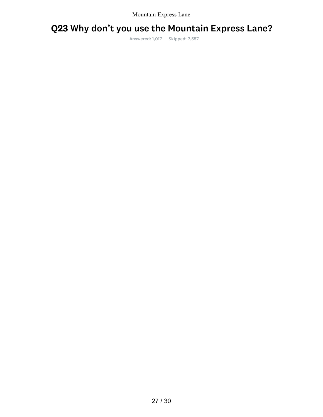# Q23 Why don't you use the Mountain Express Lane?

Answered: 1,017 Skipped: 7,557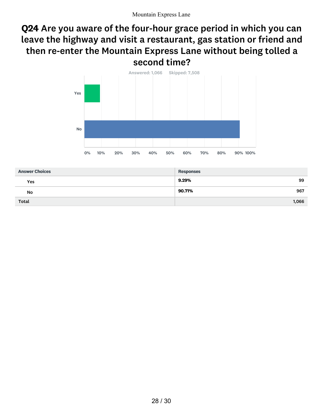## Q24 Are you aware of the four-hour grace period in which you can leave the highway and visit a restaurant, gas station or friend and then re-enter the Mountain Express Lane without being tolled a second time?



| <b>Answer Choices</b> | <b>Responses</b> |
|-----------------------|------------------|
| Yes                   | 9.29%<br>99      |
| No                    | 90.71%<br>967    |
| Total                 | 1,066            |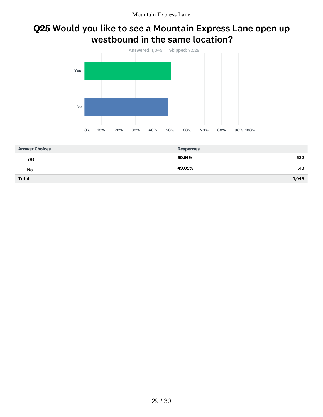### Q25 Would you like to see a Mountain Express Lane open up westbound in the same location?



| <b>Answer Choices</b> | <b>Responses</b> |
|-----------------------|------------------|
| Yes                   | 50.91%<br>532    |
| No                    | 49.09%<br>513    |
| <b>Total</b>          | 1,045            |